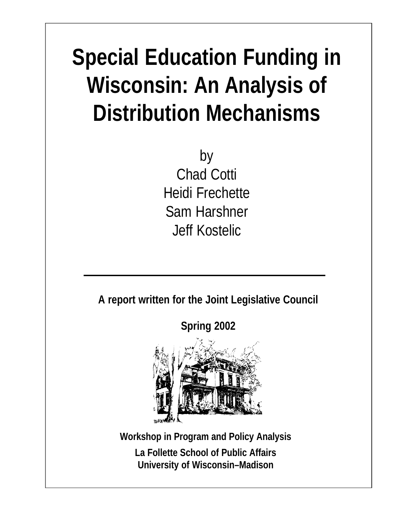# **Special Education Funding in Wisconsin: An Analysis of Distribution Mechanisms**

by Chad Cotti Heidi Frechette Sam Harshner Jeff Kostelic

**A report written for the Joint Legislative Council**

**Spring 2002**



**Workshop in Program and Policy Analysis La Follette School of Public Affairs University of Wisconsin–Madison**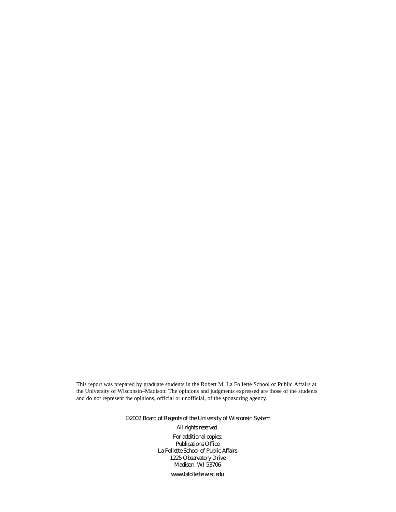This report was prepared by graduate students in the Robert M. La Follette School of Public Affairs at the University of Wisconsin–Madison. The opinions and judgments expressed are those of the students and do not represent the opinions, official or unofficial, of the sponsoring agency.

> ©2002 Board of Regents of the University of Wisconsin System All rights reserved. For additional copies: Publications Office La Follette School of Public Affairs 1225 Observatory Drive Madison, WI 53706 [www.lafollette.wisc.edu](http://www.lafollette.wisc.edu)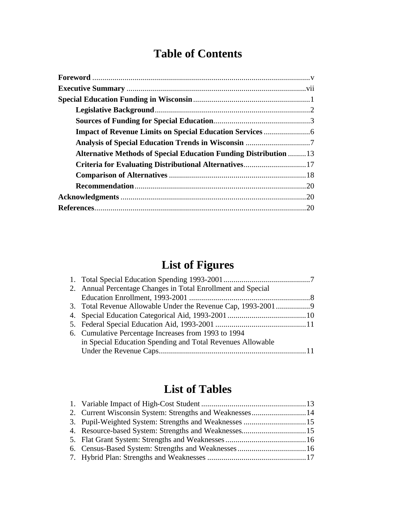# **Table of Contents**

| <b>Alternative Methods of Special Education Funding Distribution 13</b> |     |
|-------------------------------------------------------------------------|-----|
| Criteria for Evaluating Distributional Alternatives17                   |     |
|                                                                         |     |
|                                                                         |     |
|                                                                         |     |
|                                                                         | .20 |

# **List of Figures**

| 2. Annual Percentage Changes in Total Enrollment and Special |  |
|--------------------------------------------------------------|--|
|                                                              |  |
|                                                              |  |
|                                                              |  |
|                                                              |  |
| 6. Cumulative Percentage Increases from 1993 to 1994         |  |
| in Special Education Spending and Total Revenues Allowable   |  |
|                                                              |  |

# **List of Tables**

| 2. Current Wisconsin System: Strengths and Weaknesses14 |  |
|---------------------------------------------------------|--|
|                                                         |  |
|                                                         |  |
|                                                         |  |
|                                                         |  |
|                                                         |  |
|                                                         |  |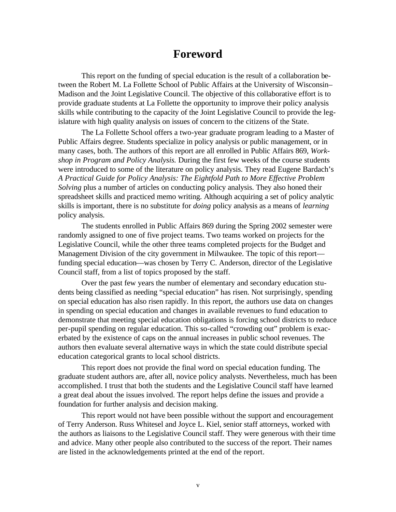# **Foreword**

This report on the funding of special education is the result of a collaboration between the Robert M. La Follette School of Public Affairs at the University of Wisconsin– Madison and the Joint Legislative Council. The objective of this collaborative effort is to provide graduate students at La Follette the opportunity to improve their policy analysis skills while contributing to the capacity of the Joint Legislative Council to provide the legislature with high quality analysis on issues of concern to the citizens of the State.

The La Follette School offers a two-year graduate program leading to a Master of Public Affairs degree. Students specialize in policy analysis or public management, or in many cases, both. The authors of this report are all enrolled in Public Affairs 869, *Workshop in Program and Policy Analysis.* During the first few weeks of the course students were introduced to some of the literature on policy analysis. They read Eugene Bardach's *A Practical Guide for Policy Analysis: The Eightfold Path to More Effective Problem Solving* plus a number of articles on conducting policy analysis. They also honed their spreadsheet skills and practiced memo writing. Although acquiring a set of policy analytic skills is important, there is no substitute for *doing* policy analysis as a means of *learning* policy analysis.

The students enrolled in Public Affairs 869 during the Spring 2002 semester were randomly assigned to one of five project teams. Two teams worked on projects for the Legislative Council, while the other three teams completed projects for the Budget and Management Division of the city government in Milwaukee. The topic of this report funding special education—was chosen by Terry C. Anderson, director of the Legislative Council staff, from a list of topics proposed by the staff.

Over the past few years the number of elementary and secondary education students being classified as needing "special education" has risen. Not surprisingly, spending on special education has also risen rapidly. In this report, the authors use data on changes in spending on special education and changes in available revenues to fund education to demonstrate that meeting special education obligations is forcing school districts to reduce per-pupil spending on regular education. This so-called "crowding out" problem is exacerbated by the existence of caps on the annual increases in public school revenues. The authors then evaluate several alternative ways in which the state could distribute special education categorical grants to local school districts.

This report does not provide the final word on special education funding. The graduate student authors are, after all, novice policy analysts. Nevertheless, much has been accomplished. I trust that both the students and the Legislative Council staff have learned a great deal about the issues involved. The report helps define the issues and provide a foundation for further analysis and decision making.

This report would not have been possible without the support and encouragement of Terry Anderson. Russ Whitesel and Joyce L. Kiel, senior staff attorneys, worked with the authors as liaisons to the Legislative Council staff. They were generous with their time and advice. Many other people also contributed to the success of the report. Their names are listed in the acknowledgements printed at the end of the report.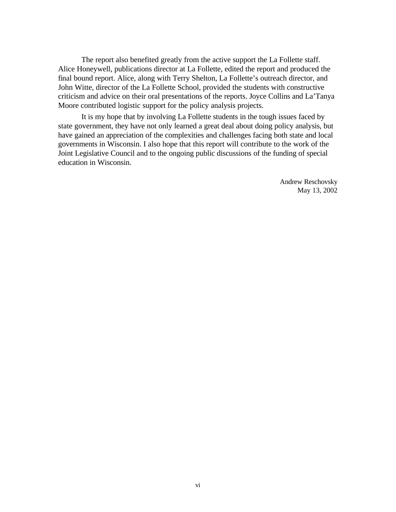The report also benefited greatly from the active support the La Follette staff. Alice Honeywell, publications director at La Follette, edited the report and produced the final bound report. Alice, along with Terry Shelton, La Follette's outreach director, and John Witte, director of the La Follette School, provided the students with constructive criticism and advice on their oral presentations of the reports. Joyce Collins and La'Tanya Moore contributed logistic support for the policy analysis projects.

It is my hope that by involving La Follette students in the tough issues faced by state government, they have not only learned a great deal about doing policy analysis, but have gained an appreciation of the complexities and challenges facing both state and local governments in Wisconsin. I also hope that this report will contribute to the work of the Joint Legislative Council and to the ongoing public discussions of the funding of special education in Wisconsin.

> Andrew Reschovsky May 13, 2002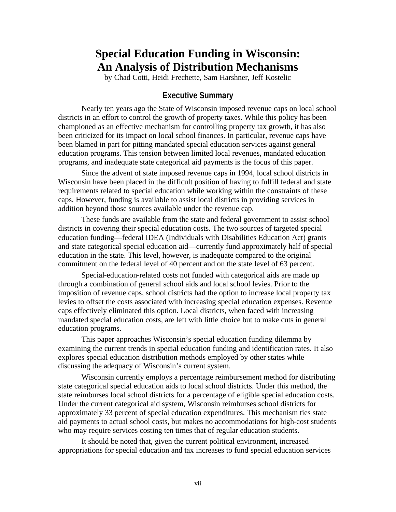# **Special Education Funding in Wisconsin: An Analysis of Distribution Mechanisms**

by Chad Cotti, Heidi Frechette, Sam Harshner, Jeff Kostelic

### **Executive Summary**

Nearly ten years ago the State of Wisconsin imposed revenue caps on local school districts in an effort to control the growth of property taxes. While this policy has been championed as an effective mechanism for controlling property tax growth, it has also been criticized for its impact on local school finances. In particular, revenue caps have been blamed in part for pitting mandated special education services against general education programs. This tension between limited local revenues, mandated education programs, and inadequate state categorical aid payments is the focus of this paper.

Since the advent of state imposed revenue caps in 1994, local school districts in Wisconsin have been placed in the difficult position of having to fulfill federal and state requirements related to special education while working within the constraints of these caps. However, funding is available to assist local districts in providing services in addition beyond those sources available under the revenue cap.

These funds are available from the state and federal government to assist school districts in covering their special education costs. The two sources of targeted special education funding—federal IDEA (Individuals with Disabilities Education Act) grants and state categorical special education aid—currently fund approximately half of special education in the state. This level, however, is inadequate compared to the original commitment on the federal level of 40 percent and on the state level of 63 percent.

Special-education-related costs not funded with categorical aids are made up through a combination of general school aids and local school levies. Prior to the imposition of revenue caps, school districts had the option to increase local property tax levies to offset the costs associated with increasing special education expenses. Revenue caps effectively eliminated this option. Local districts, when faced with increasing mandated special education costs, are left with little choice but to make cuts in general education programs.

This paper approaches Wisconsin's special education funding dilemma by examining the current trends in special education funding and identification rates. It also explores special education distribution methods employed by other states while discussing the adequacy of Wisconsin's current system.

Wisconsin currently employs a percentage reimbursement method for distributing state categorical special education aids to local school districts. Under this method, the state reimburses local school districts for a percentage of eligible special education costs. Under the current categorical aid system, Wisconsin reimburses school districts for approximately 33 percent of special education expenditures. This mechanism ties state aid payments to actual school costs, but makes no accommodations for high-cost students who may require services costing ten times that of regular education students.

It should be noted that, given the current political environment, increased appropriations for special education and tax increases to fund special education services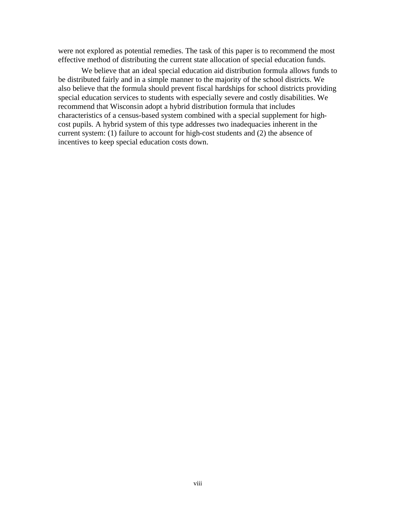were not explored as potential remedies. The task of this paper is to recommend the most effective method of distributing the current state allocation of special education funds.

We believe that an ideal special education aid distribution formula allows funds to be distributed fairly and in a simple manner to the majority of the school districts. We also believe that the formula should prevent fiscal hardships for school districts providing special education services to students with especially severe and costly disabilities. We recommend that Wisconsin adopt a hybrid distribution formula that includes characteristics of a census-based system combined with a special supplement for highcost pupils. A hybrid system of this type addresses two inadequacies inherent in the current system: (1) failure to account for high-cost students and (2) the absence of incentives to keep special education costs down.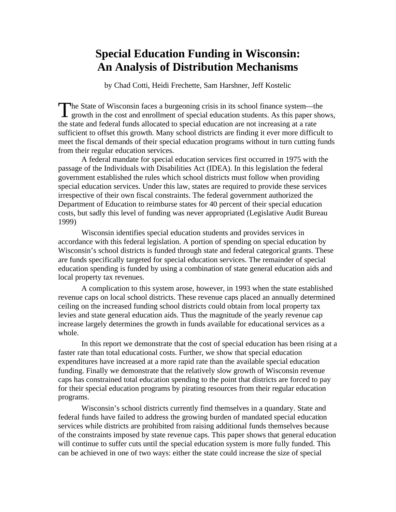# **Special Education Funding in Wisconsin: An Analysis of Distribution Mechanisms**

by Chad Cotti, Heidi Frechette, Sam Harshner, Jeff Kostelic

The State of Wisconsin faces a burgeoning crisis in its school finance system—the growth in the cost and enrollment of special education students. As this paper sho I growth in the cost and enrollment of special education students. As this paper shows, the state and federal funds allocated to special education are not increasing at a rate sufficient to offset this growth. Many school districts are finding it ever more difficult to meet the fiscal demands of their special education programs without in turn cutting funds from their regular education services.

A federal mandate for special education services first occurred in 1975 with the passage of the Individuals with Disabilities Act (IDEA). In this legislation the federal government established the rules which school districts must follow when providing special education services. Under this law, states are required to provide these services irrespective of their own fiscal constraints. The federal government authorized the Department of Education to reimburse states for 40 percent of their special education costs, but sadly this level of funding was never appropriated (Legislative Audit Bureau 1999)

Wisconsin identifies special education students and provides services in accordance with this federal legislation. A portion of spending on special education by Wisconsin's school districts is funded through state and federal categorical grants. These are funds specifically targeted for special education services. The remainder of special education spending is funded by using a combination of state general education aids and local property tax revenues.

A complication to this system arose, however, in 1993 when the state established revenue caps on local school districts. These revenue caps placed an annually determined ceiling on the increased funding school districts could obtain from local property tax levies and state general education aids. Thus the magnitude of the yearly revenue cap increase largely determines the growth in funds available for educational services as a whole.

In this report we demonstrate that the cost of special education has been rising at a faster rate than total educational costs. Further, we show that special education expenditures have increased at a more rapid rate than the available special education funding. Finally we demonstrate that the relatively slow growth of Wisconsin revenue caps has constrained total education spending to the point that districts are forced to pay for their special education programs by pirating resources from their regular education programs.

Wisconsin's school districts currently find themselves in a quandary. State and federal funds have failed to address the growing burden of mandated special education services while districts are prohibited from raising additional funds themselves because of the constraints imposed by state revenue caps. This paper shows that general education will continue to suffer cuts until the special education system is more fully funded. This can be achieved in one of two ways: either the state could increase the size of special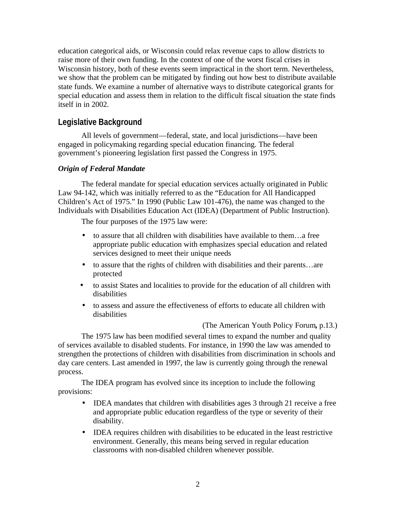education categorical aids, or Wisconsin could relax revenue caps to allow districts to raise more of their own funding. In the context of one of the worst fiscal crises in Wisconsin history, both of these events seem impractical in the short term. Nevertheless, we show that the problem can be mitigated by finding out how best to distribute available state funds. We examine a number of alternative ways to distribute categorical grants for special education and assess them in relation to the difficult fiscal situation the state finds itself in in 2002.

# **Legislative Background**

All levels of government—federal, state, and local jurisdictions—have been engaged in policymaking regarding special education financing. The federal government's pioneering legislation first passed the Congress in 1975.

### *Origin of Federal Mandate*

The federal mandate for special education services actually originated in Public Law 94-142, which was initially referred to as the "Education for All Handicapped Children's Act of 1975." In 1990 (Public Law 101-476), the name was changed to the Individuals with Disabilities Education Act (IDEA) (Department of Public Instruction).

The four purposes of the 1975 law were:

- to assure that all children with disabilities have available to them...a free appropriate public education with emphasizes special education and related services designed to meet their unique needs
- to assure that the rights of children with disabilities and their parents...are protected
- to assist States and localities to provide for the education of all children with disabilities
- to assess and assure the effectiveness of efforts to educate all children with disabilities

(The American Youth Policy Forum**,** p.13.)

The 1975 law has been modified several times to expand the number and quality of services available to disabled students. For instance, in 1990 the law was amended to strengthen the protections of children with disabilities from discrimination in schools and day care centers. Last amended in 1997, the law is currently going through the renewal process.

The IDEA program has evolved since its inception to include the following provisions:

- IDEA mandates that children with disabilities ages 3 through 21 receive a free and appropriate public education regardless of the type or severity of their disability.
- IDEA requires children with disabilities to be educated in the least restrictive environment. Generally, this means being served in regular education classrooms with non-disabled children whenever possible.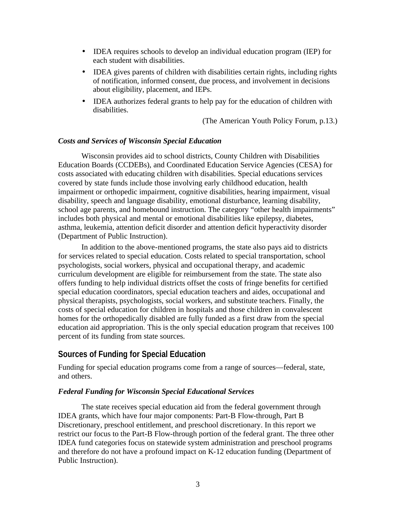- IDEA requires schools to develop an individual education program (IEP) for each student with disabilities.
- IDEA gives parents of children with disabilities certain rights, including rights of notification, informed consent, due process, and involvement in decisions about eligibility, placement, and IEPs.
- IDEA authorizes federal grants to help pay for the education of children with disabilities.

(The American Youth Policy Forum, p.13.)

#### *Costs and Services of Wisconsin Special Education*

Wisconsin provides aid to school districts, County Children with Disabilities Education Boards (CCDEBs), and Coordinated Education Service Agencies (CESA) for costs associated with educating children with disabilities. Special educations services covered by state funds include those involving early childhood education, health impairment or orthopedic impairment, cognitive disabilities, hearing impairment, visual disability, speech and language disability, emotional disturbance, learning disability, school age parents, and homebound instruction. The category "other health impairments" includes both physical and mental or emotional disabilities like epilepsy, diabetes, asthma, leukemia, attention deficit disorder and attention deficit hyperactivity disorder (Department of Public Instruction).

In addition to the above-mentioned programs, the state also pays aid to districts for services related to special education. Costs related to special transportation, school psychologists, social workers, physical and occupational therapy, and academic curriculum development are eligible for reimbursement from the state. The state also offers funding to help individual districts offset the costs of fringe benefits for certified special education coordinators, special education teachers and aides, occupational and physical therapists, psychologists, social workers, and substitute teachers. Finally, the costs of special education for children in hospitals and those children in convalescent homes for the orthopedically disabled are fully funded as a first draw from the special education aid appropriation. This is the only special education program that receives 100 percent of its funding from state sources.

# **Sources of Funding for Special Education**

Funding for special education programs come from a range of sources—federal, state, and others.

#### *Federal Funding for Wisconsin Special Educational Services*

The state receives special education aid from the federal government through IDEA grants, which have four major components: Part-B Flow-through, Part B Discretionary, preschool entitlement, and preschool discretionary. In this report we restrict our focus to the Part-B Flow-through portion of the federal grant. The three other IDEA fund categories focus on statewide system administration and preschool programs and therefore do not have a profound impact on K-12 education funding (Department of Public Instruction).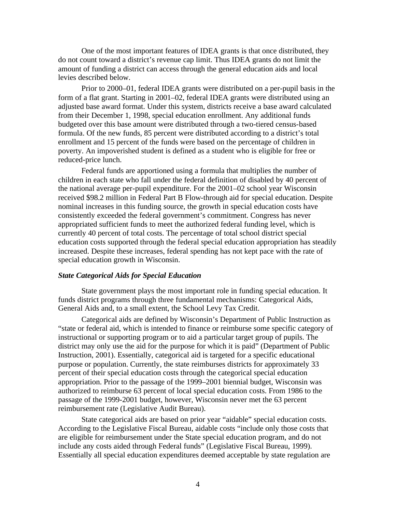One of the most important features of IDEA grants is that once distributed, they do not count toward a district's revenue cap limit. Thus IDEA grants do not limit the amount of funding a district can access through the general education aids and local levies described below.

Prior to 2000–01, federal IDEA grants were distributed on a per-pupil basis in the form of a flat grant. Starting in 2001–02, federal IDEA grants were distributed using an adjusted base award format. Under this system, districts receive a base award calculated from their December 1, 1998, special education enrollment. Any additional funds budgeted over this base amount were distributed through a two-tiered census-based formula. Of the new funds, 85 percent were distributed according to a district's total enrollment and 15 percent of the funds were based on the percentage of children in poverty. An impoverished student is defined as a student who is eligible for free or reduced-price lunch.

Federal funds are apportioned using a formula that multiplies the number of children in each state who fall under the federal definition of disabled by 40 percent of the national average per-pupil expenditure. For the 2001–02 school year Wisconsin received \$98.2 million in Federal Part B Flow-through aid for special education. Despite nominal increases in this funding source, the growth in special education costs have consistently exceeded the federal government's commitment. Congress has never appropriated sufficient funds to meet the authorized federal funding level, which is currently 40 percent of total costs. The percentage of total school district special education costs supported through the federal special education appropriation has steadily increased. Despite these increases, federal spending has not kept pace with the rate of special education growth in Wisconsin.

#### *State Categorical Aids for Special Education*

State government plays the most important role in funding special education. It funds district programs through three fundamental mechanisms: Categorical Aids, General Aids and, to a small extent, the School Levy Tax Credit.

Categorical aids are defined by Wisconsin's Department of Public Instruction as "state or federal aid, which is intended to finance or reimburse some specific category of instructional or supporting program or to aid a particular target group of pupils. The district may only use the aid for the purpose for which it is paid" (Department of Public Instruction, 2001). Essentially, categorical aid is targeted for a specific educational purpose or population. Currently, the state reimburses districts for approximately 33 percent of their special education costs through the categorical special education appropriation. Prior to the passage of the 1999–2001 biennial budget, Wisconsin was authorized to reimburse 63 percent of local special education costs. From 1986 to the passage of the 1999-2001 budget, however, Wisconsin never met the 63 percent reimbursement rate (Legislative Audit Bureau).

State categorical aids are based on prior year "aidable" special education costs. According to the Legislative Fiscal Bureau, aidable costs "include only those costs that are eligible for reimbursement under the State special education program, and do not include any costs aided through Federal funds" (Legislative Fiscal Bureau, 1999). Essentially all special education expenditures deemed acceptable by state regulation are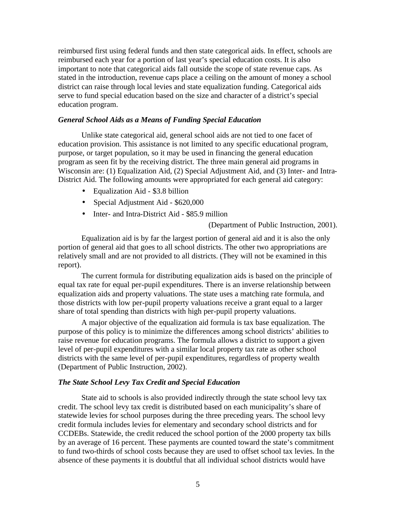reimbursed first using federal funds and then state categorical aids. In effect, schools are reimbursed each year for a portion of last year's special education costs. It is also important to note that categorical aids fall outside the scope of state revenue caps. As stated in the introduction, revenue caps place a ceiling on the amount of money a school district can raise through local levies and state equalization funding. Categorical aids serve to fund special education based on the size and character of a district's special education program.

#### *General School Aids as a Means of Funding Special Education*

Unlike state categorical aid, general school aids are not tied to one facet of education provision. This assistance is not limited to any specific educational program, purpose, or target population, so it may be used in financing the general education program as seen fit by the receiving district. The three main general aid programs in Wisconsin are: (1) Equalization Aid, (2) Special Adjustment Aid, and (3) Inter- and Intra-District Aid. The following amounts were appropriated for each general aid category:

- Equalization Aid \$3.8 billion
- Special Adjustment Aid \$620,000
- Inter- and Intra-District Aid \$85.9 million

(Department of Public Instruction, 2001).

Equalization aid is by far the largest portion of general aid and it is also the only portion of general aid that goes to all school districts. The other two appropriations are relatively small and are not provided to all districts. (They will not be examined in this report).

The current formula for distributing equalization aids is based on the principle of equal tax rate for equal per-pupil expenditures. There is an inverse relationship between equalization aids and property valuations. The state uses a matching rate formula, and those districts with low per-pupil property valuations receive a grant equal to a larger share of total spending than districts with high per-pupil property valuations.

A major objective of the equalization aid formula is tax base equalization. The purpose of this policy is to minimize the differences among school districts' abilities to raise revenue for education programs. The formula allows a district to support a given level of per-pupil expenditures with a similar local property tax rate as other school districts with the same level of per-pupil expenditures, regardless of property wealth (Department of Public Instruction, 2002).

#### *The State School Levy Tax Credit and Special Education*

State aid to schools is also provided indirectly through the state school levy tax credit. The school levy tax credit is distributed based on each municipality's share of statewide levies for school purposes during the three preceding years. The school levy credit formula includes levies for elementary and secondary school districts and for CCDEBs. Statewide, the credit reduced the school portion of the 2000 property tax bills by an average of 16 percent. These payments are counted toward the state's commitment to fund two-thirds of school costs because they are used to offset school tax levies. In the absence of these payments it is doubtful that all individual school districts would have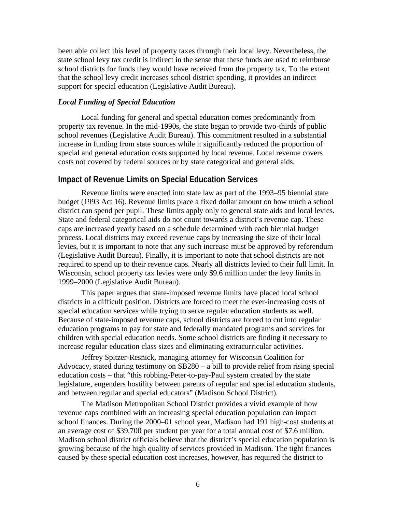been able collect this level of property taxes through their local levy. Nevertheless, the state school levy tax credit is indirect in the sense that these funds are used to reimburse school districts for funds they would have received from the property tax. To the extent that the school levy credit increases school district spending, it provides an indirect support for special education (Legislative Audit Bureau).

#### *Local Funding of Special Education*

Local funding for general and special education comes predominantly from property tax revenue. In the mid-1990s, the state began to provide two-thirds of public school revenues (Legislative Audit Bureau). This commitment resulted in a substantial increase in funding from state sources while it significantly reduced the proportion of special and general education costs supported by local revenue. Local revenue covers costs not covered by federal sources or by state categorical and general aids.

#### **Impact of Revenue Limits on Special Education Services**

Revenue limits were enacted into state law as part of the 1993–95 biennial state budget (1993 Act 16). Revenue limits place a fixed dollar amount on how much a school district can spend per pupil. These limits apply only to general state aids and local levies. State and federal categorical aids do not count towards a district's revenue cap. These caps are increased yearly based on a schedule determined with each biennial budget process. Local districts may exceed revenue caps by increasing the size of their local levies, but it is important to note that any such increase must be approved by referendum (Legislative Audit Bureau). Finally, it is important to note that school districts are not required to spend up to their revenue caps. Nearly all districts levied to their full limit. In Wisconsin, school property tax levies were only \$9.6 million under the levy limits in 1999–2000 (Legislative Audit Bureau).

This paper argues that state-imposed revenue limits have placed local school districts in a difficult position. Districts are forced to meet the ever-increasing costs of special education services while trying to serve regular education students as well. Because of state-imposed revenue caps, school districts are forced to cut into regular education programs to pay for state and federally mandated programs and services for children with special education needs. Some school districts are finding it necessary to increase regular education class sizes and eliminating extracurricular activities.

Jeffrey Spitzer-Resnick, managing attorney for Wisconsin Coalition for Advocacy, stated during testimony on SB280 – a bill to provide relief from rising special education costs – that "this robbing-Peter-to-pay-Paul system created by the state legislature, engenders hostility between parents of regular and special education students, and between regular and special educators" (Madison School District).

The Madison Metropolitan School District provides a vivid example of how revenue caps combined with an increasing special education population can impact school finances. During the 2000–01 school year, Madison had 191 high-cost students at an average cost of \$39,700 per student per year for a total annual cost of \$7.6 million. Madison school district officials believe that the district's special education population is growing because of the high quality of services provided in Madison. The tight finances caused by these special education cost increases, however, has required the district to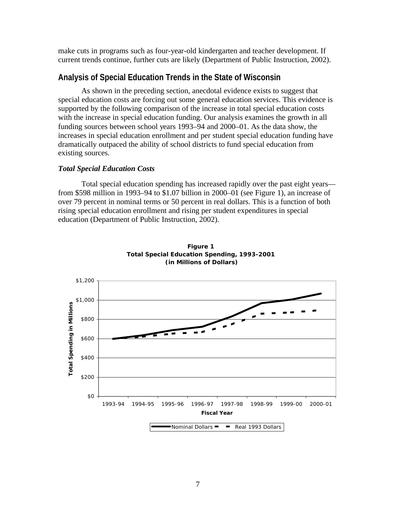make cuts in programs such as four-year-old kindergarten and teacher development. If current trends continue, further cuts are likely (Department of Public Instruction, 2002).

#### **Analysis of Special Education Trends in the State of Wisconsin**

As shown in the preceding section, anecdotal evidence exists to suggest that special education costs are forcing out some general education services. This evidence is supported by the following comparison of the increase in total special education costs with the increase in special education funding. Our analysis examines the growth in all funding sources between school years 1993–94 and 2000–01. As the data show, the increases in special education enrollment and per student special education funding have dramatically outpaced the ability of school districts to fund special education from existing sources.

#### *Total Special Education Costs*

Total special education spending has increased rapidly over the past eight years from \$598 million in 1993–94 to \$1.07 billion in 2000–01 (see Figure 1), an increase of over 79 percent in nominal terms or 50 percent in real dollars. This is a function of both rising special education enrollment and rising per student expenditures in special education (Department of Public Instruction, 2002).



**Figure 1 Total Special Education Spending, 1993-2001 (in Millions of Dollars)**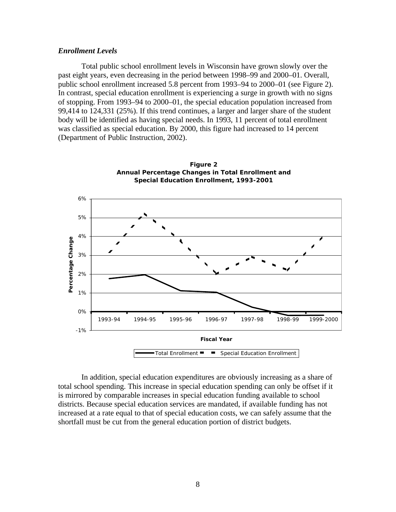#### *Enrollment Levels*

Total public school enrollment levels in Wisconsin have grown slowly over the past eight years, even decreasing in the period between 1998–99 and 2000–01. Overall, public school enrollment increased 5.8 percent from 1993–94 to 2000–01 (see Figure 2). In contrast, special education enrollment is experiencing a surge in growth with no signs of stopping. From 1993–94 to 2000–01, the special education population increased from 99,414 to 124,331 (25%). If this trend continues, a larger and larger share of the student body will be identified as having special needs. In 1993, 11 percent of total enrollment was classified as special education. By 2000, this figure had increased to 14 percent (Department of Public Instruction, 2002).



**Figure 2 Annual Percentage Changes in Total Enrollment and** 

In addition, special education expenditures are obviously increasing as a share of total school spending. This increase in special education spending can only be offset if it is mirrored by comparable increases in special education funding available to school districts. Because special education services are mandated, if available funding has not increased at a rate equal to that of special education costs, we can safely assume that the shortfall must be cut from the general education portion of district budgets.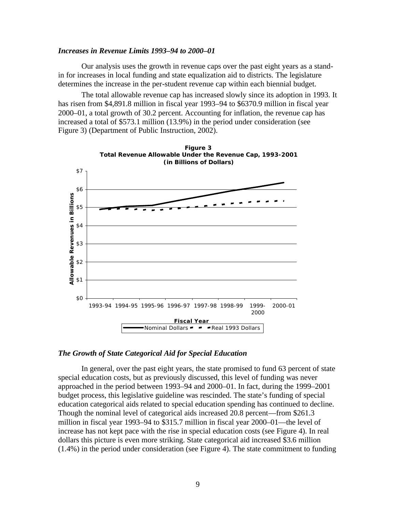#### *Increases in Revenue Limits 1993–94 to 2000–01*

Our analysis uses the growth in revenue caps over the past eight years as a standin for increases in local funding and state equalization aid to districts. The legislature determines the increase in the per-student revenue cap within each biennial budget.

The total allowable revenue cap has increased slowly since its adoption in 1993. It has risen from \$4,891.8 million in fiscal year 1993–94 to \$6370.9 million in fiscal year 2000–01, a total growth of 30.2 percent. Accounting for inflation, the revenue cap has increased a total of \$573.1 million (13.9%) in the period under consideration (see Figure 3) (Department of Public Instruction, 2002).



#### *The Growth of State Categorical Aid for Special Education*

In general, over the past eight years, the state promised to fund 63 percent of state special education costs, but as previously discussed, this level of funding was never approached in the period between 1993–94 and 2000–01. In fact, during the 1999–2001 budget process, this legislative guideline was rescinded. The state's funding of special education categorical aids related to special education spending has continued to decline. Though the nominal level of categorical aids increased 20.8 percent—from \$261.3 million in fiscal year 1993–94 to \$315.7 million in fiscal year 2000–01—the level of increase has not kept pace with the rise in special education costs (see Figure 4). In real dollars this picture is even more striking. State categorical aid increased \$3.6 million (1.4%) in the period under consideration (see Figure 4). The state commitment to funding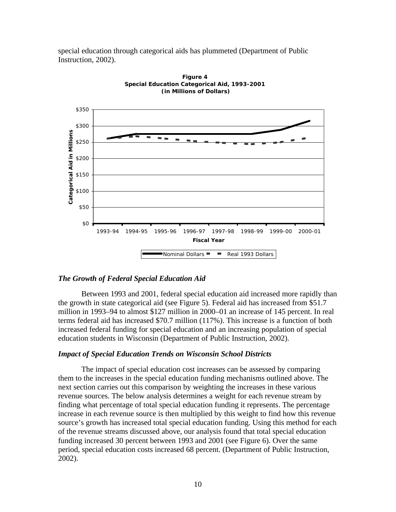special education through categorical aids has plummeted (Department of Public Instruction, 2002).





#### *The Growth of Federal Special Education Aid*

Between 1993 and 2001, federal special education aid increased more rapidly than the growth in state categorical aid (see Figure 5). Federal aid has increased from \$51.7 million in 1993–94 to almost \$127 million in 2000–01 an increase of 145 percent. In real terms federal aid has increased \$70.7 million (117%). This increase is a function of both increased federal funding for special education and an increasing population of special education students in Wisconsin (Department of Public Instruction, 2002).

#### *Impact of Special Education Trends on Wisconsin School Districts*

The impact of special education cost increases can be assessed by comparing them to the increases in the special education funding mechanisms outlined above. The next section carries out this comparison by weighting the increases in these various revenue sources. The below analysis determines a weight for each revenue stream by finding what percentage of total special education funding it represents. The percentage increase in each revenue source is then multiplied by this weight to find how this revenue source's growth has increased total special education funding. Using this method for each of the revenue streams discussed above, our analysis found that total special education funding increased 30 percent between 1993 and 2001 (see Figure 6). Over the same period, special education costs increased 68 percent. (Department of Public Instruction, 2002).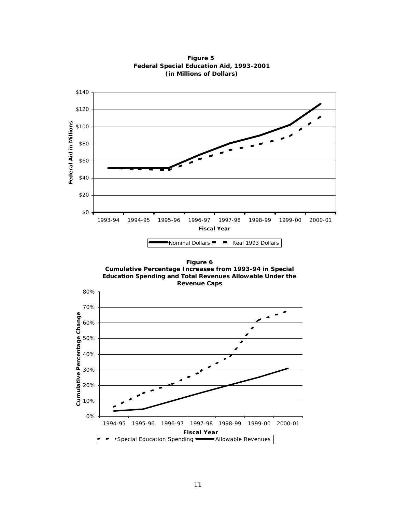

**Figure 5 Federal Special Education Aid, 1993-2001 (in Millions of Dollars)**

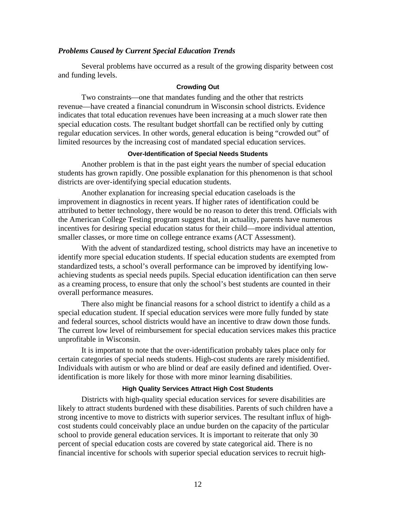#### *Problems Caused by Current Special Education Trends*

Several problems have occurred as a result of the growing disparity between cost and funding levels.

#### **Crowding Out**

Two constraints—one that mandates funding and the other that restricts revenue—have created a financial conundrum in Wisconsin school districts. Evidence indicates that total education revenues have been increasing at a much slower rate then special education costs. The resultant budget shortfall can be rectified only by cutting regular education services. In other words, general education is being "crowded out" of limited resources by the increasing cost of mandated special education services.

#### **Over-Identification of Special Needs Students**

Another problem is that in the past eight years the number of special education students has grown rapidly. One possible explanation for this phenomenon is that school districts are over-identifying special education students.

Another explanation for increasing special education caseloads is the improvement in diagnostics in recent years. If higher rates of identification could be attributed to better technology, there would be no reason to deter this trend. Officials with the American College Testing program suggest that, in actuality, parents have numerous incentives for desiring special education status for their child—more individual attention, smaller classes, or more time on college entrance exams (ACT Assessment).

With the advent of standardized testing, school districts may have an incenetive to identify more special education students. If special education students are exempted from standardized tests, a school's overall performance can be improved by identifying lowachieving students as special needs pupils. Special education identification can then serve as a creaming process, to ensure that only the school's best students are counted in their overall performance measures.

There also might be financial reasons for a school district to identify a child as a special education student. If special education services were more fully funded by state and federal sources, school districts would have an incentive to draw down those funds. The current low level of reimbursement for special education services makes this practice unprofitable in Wisconsin.

It is important to note that the over-identification probably takes place only for certain categories of special needs students. High-cost students are rarely misidentified. Individuals with autism or who are blind or deaf are easily defined and identified. Overidentification is more likely for those with more minor learning disabilities.

#### **High Quality Services Attract High Cost Students**

Districts with high-quality special education services for severe disabilities are likely to attract students burdened with these disabilities. Parents of such children have a strong incentive to move to districts with superior services. The resultant influx of highcost students could conceivably place an undue burden on the capacity of the particular school to provide general education services. It is important to reiterate that only 30 percent of special education costs are covered by state categorical aid. There is no financial incentive for schools with superior special education services to recruit high-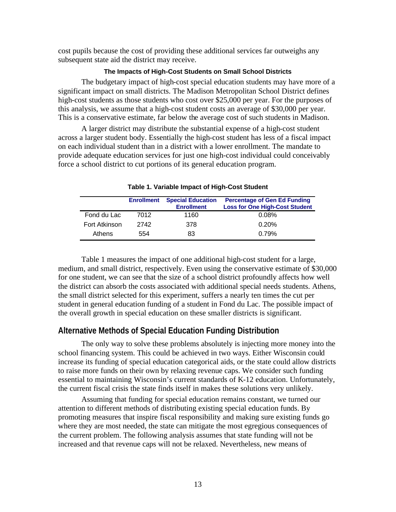cost pupils because the cost of providing these additional services far outweighs any subsequent state aid the district may receive.

#### **The Impacts of High-Cost Students on Small School Districts**

The budgetary impact of high-cost special education students may have more of a significant impact on small districts. The Madison Metropolitan School District defines high-cost students as those students who cost over \$25,000 per year. For the purposes of this analysis, we assume that a high-cost student costs an average of \$30,000 per year. This is a conservative estimate, far below the average cost of such students in Madison.

A larger district may distribute the substantial expense of a high-cost student across a larger student body. Essentially the high-cost student has less of a fiscal impact on each individual student than in a district with a lower enrollment. The mandate to provide adequate education services for just one high-cost individual could conceivably force a school district to cut portions of its general education program.

|               | <b>Enrollment</b> | <b>Special Education</b><br><b>Enrollment</b> | <b>Percentage of Gen Ed Funding</b><br><b>Loss for One High-Cost Student</b> |
|---------------|-------------------|-----------------------------------------------|------------------------------------------------------------------------------|
| Fond du Lac   | 7012              | 1160                                          | 0.08%                                                                        |
| Fort Atkinson | 2742              | 378                                           | 0.20%                                                                        |
| Athens        | 554               | 83                                            | 0.79%                                                                        |

#### **Table 1. Variable Impact of High-Cost Student**

Table 1 measures the impact of one additional high-cost student for a large, medium, and small district, respectively. Even using the conservative estimate of \$30,000 for one student, we can see that the size of a school district profoundly affects how well the district can absorb the costs associated with additional special needs students. Athens, the small district selected for this experiment, suffers a nearly ten times the cut per student in general education funding of a student in Fond du Lac. The possible impact of the overall growth in special education on these smaller districts is significant.

### **Alternative Methods of Special Education Funding Distribution**

The only way to solve these problems absolutely is injecting more money into the school financing system. This could be achieved in two ways. Either Wisconsin could increase its funding of special education categorical aids, or the state could allow districts to raise more funds on their own by relaxing revenue caps. We consider such funding essential to maintaining Wisconsin's current standards of K-12 education. Unfortunately, the current fiscal crisis the state finds itself in makes these solutions very unlikely.

Assuming that funding for special education remains constant, we turned our attention to different methods of distributing existing special education funds. By promoting measures that inspire fiscal responsibility and making sure existing funds go where they are most needed, the state can mitigate the most egregious consequences of the current problem. The following analysis assumes that state funding will not be increased and that revenue caps will not be relaxed. Nevertheless, new means of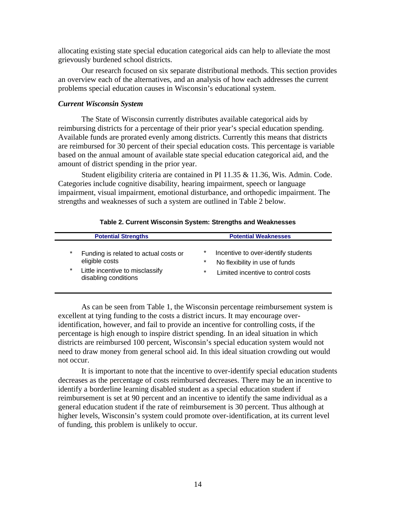allocating existing state special education categorical aids can help to alleviate the most grievously burdened school districts.

Our research focused on six separate distributional methods. This section provides an overview each of the alternatives, and an analysis of how each addresses the current problems special education causes in Wisconsin's educational system.

#### *Current Wisconsin System*

The State of Wisconsin currently distributes available categorical aids by reimbursing districts for a percentage of their prior year's special education spending. Available funds are prorated evenly among districts. Currently this means that districts are reimbursed for 30 percent of their special education costs. This percentage is variable based on the annual amount of available state special education categorical aid, and the amount of district spending in the prior year.

Student eligibility criteria are contained in PI 11.35 & 11.36, Wis. Admin. Code. Categories include cognitive disability, hearing impairment, speech or language impairment, visual impairment, emotional disturbance, and orthopedic impairment. The strengths and weaknesses of such a system are outlined in Table 2 below.

| <b>Potential Strengths</b> |                                                                                                                    | <b>Potential Weaknesses</b> |                                                                                                             |  |
|----------------------------|--------------------------------------------------------------------------------------------------------------------|-----------------------------|-------------------------------------------------------------------------------------------------------------|--|
| $\star$<br>$\star$         | Funding is related to actual costs or<br>eligible costs<br>Little incentive to misclassify<br>disabling conditions | *<br>*<br>$\star$           | Incentive to over-identify students<br>No flexibility in use of funds<br>Limited incentive to control costs |  |

As can be seen from Table 1, the Wisconsin percentage reimbursement system is excellent at tying funding to the costs a district incurs. It may encourage overidentification, however, and fail to provide an incentive for controlling costs, if the percentage is high enough to inspire district spending. In an ideal situation in which districts are reimbursed 100 percent, Wisconsin's special education system would not need to draw money from general school aid. In this ideal situation crowding out would not occur.

It is important to note that the incentive to over-identify special education students decreases as the percentage of costs reimbursed decreases. There may be an incentive to identify a borderline learning disabled student as a special education student if reimbursement is set at 90 percent and an incentive to identify the same individual as a general education student if the rate of reimbursement is 30 percent. Thus although at higher levels, Wisconsin's system could promote over-identification, at its current level of funding, this problem is unlikely to occur.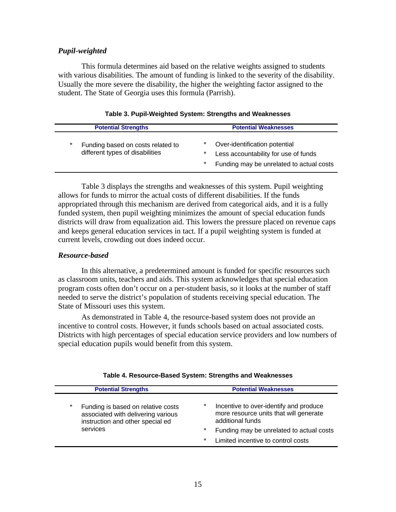#### *Pupil-weighted*

This formula determines aid based on the relative weights assigned to students with various disabilities. The amount of funding is linked to the severity of the disability. Usually the more severe the disability, the higher the weighting factor assigned to the student. The State of Georgia uses this formula (Parrish).

|   | <b>Potential Strengths</b>                                           | <b>Potential Weaknesses</b>                                                                                                      |  |  |
|---|----------------------------------------------------------------------|----------------------------------------------------------------------------------------------------------------------------------|--|--|
| * | Funding based on costs related to<br>different types of disabilities | *<br>Over-identification potential<br>Less accountability for use of funds<br>*<br>*<br>Funding may be unrelated to actual costs |  |  |

Table 3 displays the strengths and weaknesses of this system. Pupil weighting allows for funds to mirror the actual costs of different disabilities. If the funds appropriated through this mechanism are derived from categorical aids, and it is a fully funded system, then pupil weighting minimizes the amount of special education funds districts will draw from equalization aid. This lowers the pressure placed on revenue caps and keeps general education services in tact. If a pupil weighting system is funded at current levels, crowding out does indeed occur.

#### *Resource-based*

In this alternative, a predetermined amount is funded for specific resources such as classroom units, teachers and aids. This system acknowledges that special education program costs often don't occur on a per-student basis, so it looks at the number of staff needed to serve the district's population of students receiving special education. The State of Missouri uses this system.

As demonstrated in Table 4, the resource-based system does not provide an incentive to control costs. However, it funds schools based on actual associated costs. Districts with high percentages of special education service providers and low numbers of special education pupils would benefit from this system.

|          | <b>Potential Strengths</b>                                                                                   |         | <b>Potential Weaknesses</b>                                                                          |
|----------|--------------------------------------------------------------------------------------------------------------|---------|------------------------------------------------------------------------------------------------------|
| $^\star$ | Funding is based on relative costs<br>associated with delivering various<br>instruction and other special ed | *       | Incentive to over-identify and produce<br>more resource units that will generate<br>additional funds |
|          | services                                                                                                     | $\star$ | Funding may be unrelated to actual costs                                                             |
|          |                                                                                                              | *       | Limited incentive to control costs                                                                   |

#### **Table 4. Resource-Based System: Strengths and Weaknesses**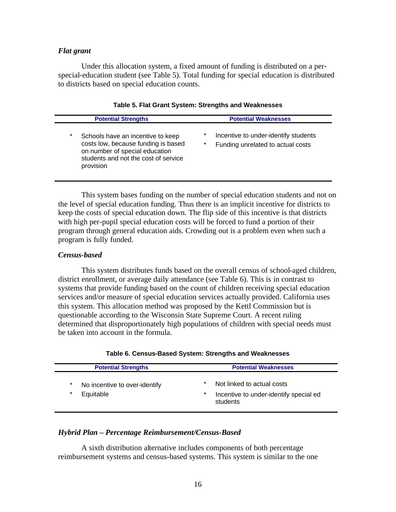#### *Flat grant*

Under this allocation system, a fixed amount of funding is distributed on a perspecial-education student (see Table 5). Total funding for special education is distributed to districts based on special education counts.

| <b>Potential Strengths</b>                                                                                                                                                 | <b>Potential Weaknesses</b>                                                                |  |  |
|----------------------------------------------------------------------------------------------------------------------------------------------------------------------------|--------------------------------------------------------------------------------------------|--|--|
| $\star$<br>Schools have an incentive to keep<br>costs low, because funding is based<br>on number of special education<br>students and not the cost of service<br>provision | *<br>Incentive to under-identify students<br>$^\star$<br>Funding unrelated to actual costs |  |  |

#### **Table 5. Flat Grant System: Strengths and Weaknesses**

This system bases funding on the number of special education students and not on the level of special education funding. Thus there is an implicit incentive for districts to keep the costs of special education down. The flip side of this incentive is that districts with high per-pupil special education costs will be forced to fund a portion of their program through general education aids. Crowding out is a problem even when such a program is fully funded.

#### *Census-based*

This system distributes funds based on the overall census of school-aged children, district enrollment, or average daily attendance (see Table 6). This is in contrast to systems that provide funding based on the count of children receiving special education services and/or measure of special education services actually provided. California uses this system. This allocation method was proposed by the Kettl Commission but is questionable according to the Wisconsin State Supreme Court. A recent ruling determined that disproportionately high populations of children with special needs must be taken into account in the formula.

|              | <b>Potential Strengths</b>                 | <b>Potential Weaknesses</b>                                                                |  |  |
|--------------|--------------------------------------------|--------------------------------------------------------------------------------------------|--|--|
| *<br>$\star$ | No incentive to over-identify<br>Equitable | $\star$<br>Not linked to actual costs<br>$\star$<br>Incentive to under-identify special ed |  |  |
|              |                                            | students                                                                                   |  |  |

| Table 6. Census-Based System: Strengths and Weaknesses |  |  |  |  |
|--------------------------------------------------------|--|--|--|--|
|--------------------------------------------------------|--|--|--|--|

#### *Hybrid Plan – Percentage Reimbursement/Census-Based*

A sixth distribution alternative includes components of both percentage reimbursement systems and census-based systems. This system is similar to the one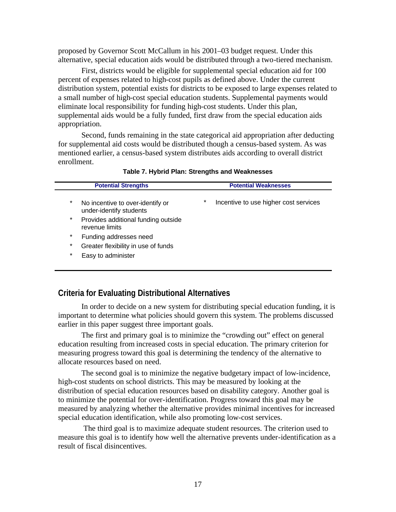proposed by Governor Scott McCallum in his 2001–03 budget request. Under this alternative, special education aids would be distributed through a two-tiered mechanism.

First, districts would be eligible for supplemental special education aid for 100 percent of expenses related to high-cost pupils as defined above. Under the current distribution system, potential exists for districts to be exposed to large expenses related to a small number of high-cost special education students. Supplemental payments would eliminate local responsibility for funding high-cost students. Under this plan, supplemental aids would be a fully funded, first draw from the special education aids appropriation.

Second, funds remaining in the state categorical aid appropriation after deducting for supplemental aid costs would be distributed though a census-based system. As was mentioned earlier, a census-based system distributes aids according to overall district enrollment.

| <b>Potential Strengths</b> |                                                             | <b>Potential Weaknesses</b> |                                       |
|----------------------------|-------------------------------------------------------------|-----------------------------|---------------------------------------|
| $\star$                    | No incentive to over-identify or<br>under-identify students | $\star$                     | Incentive to use higher cost services |
| $\star$                    | Provides additional funding outside<br>revenue limits       |                             |                                       |
| *                          | Funding addresses need                                      |                             |                                       |
| *                          | Greater flexibility in use of funds                         |                             |                                       |
| *                          | Easy to administer                                          |                             |                                       |

**Table 7. Hybrid Plan: Strengths and Weaknesses**

## **Criteria for Evaluating Distributional Alternatives**

In order to decide on a new system for distributing special education funding, it is important to determine what policies should govern this system. The problems discussed earlier in this paper suggest three important goals.

The first and primary goal is to minimize the "crowding out" effect on general education resulting from increased costs in special education. The primary criterion for measuring progress toward this goal is determining the tendency of the alternative to allocate resources based on need.

The second goal is to minimize the negative budgetary impact of low-incidence, high-cost students on school districts. This may be measured by looking at the distribution of special education resources based on disability category. Another goal is to minimize the potential for over-identification. Progress toward this goal may be measured by analyzing whether the alternative provides minimal incentives for increased special education identification, while also promoting low-cost services.

 The third goal is to maximize adequate student resources. The criterion used to measure this goal is to identify how well the alternative prevents under-identification as a result of fiscal disincentives.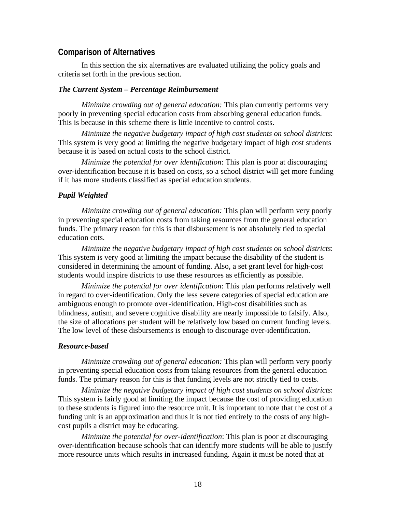### **Comparison of Alternatives**

In this section the six alternatives are evaluated utilizing the policy goals and criteria set forth in the previous section.

#### *The Current System – Percentage Reimbursement*

*Minimize crowding out of general education:* This plan currently performs very poorly in preventing special education costs from absorbing general education funds. This is because in this scheme there is little incentive to control costs.

*Minimize the negative budgetary impact of high cost students on school districts*: This system is very good at limiting the negative budgetary impact of high cost students because it is based on actual costs to the school district.

*Minimize the potential for over identification*: This plan is poor at discouraging over-identification because it is based on costs, so a school district will get more funding if it has more students classified as special education students.

#### *Pupil Weighted*

*Minimize crowding out of general education:* This plan will perform very poorly in preventing special education costs from taking resources from the general education funds. The primary reason for this is that disbursement is not absolutely tied to special education cots.

*Minimize the negative budgetary impact of high cost students on school districts*: This system is very good at limiting the impact because the disability of the student is considered in determining the amount of funding. Also, a set grant level for high-cost students would inspire districts to use these resources as efficiently as possible.

*Minimize the potential for over identification*: This plan performs relatively well in regard to over-identification. Only the less severe categories of special education are ambiguous enough to promote over-identification. High-cost disabilities such as blindness, autism, and severe cognitive disability are nearly impossible to falsify. Also, the size of allocations per student will be relatively low based on current funding levels. The low level of these disbursements is enough to discourage over-identification.

#### *Resource-based*

*Minimize crowding out of general education:* This plan will perform very poorly in preventing special education costs from taking resources from the general education funds. The primary reason for this is that funding levels are not strictly tied to costs.

*Minimize the negative budgetary impact of high cost students on school districts*: This system is fairly good at limiting the impact because the cost of providing education to these students is figured into the resource unit. It is important to note that the cost of a funding unit is an approximation and thus it is not tied entirely to the costs of any highcost pupils a district may be educating.

*Minimize the potential for over-identification*: This plan is poor at discouraging over-identification because schools that can identify more students will be able to justify more resource units which results in increased funding. Again it must be noted that at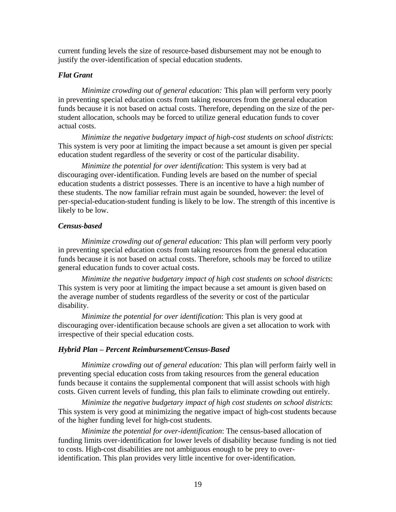current funding levels the size of resource-based disbursement may not be enough to justify the over-identification of special education students.

#### *Flat Grant*

*Minimize crowding out of general education:* This plan will perform very poorly in preventing special education costs from taking resources from the general education funds because it is not based on actual costs. Therefore, depending on the size of the perstudent allocation, schools may be forced to utilize general education funds to cover actual costs.

*Minimize the negative budgetary impact of high-cost students on school districts*: This system is very poor at limiting the impact because a set amount is given per special education student regardless of the severity or cost of the particular disability.

*Minimize the potential for over identification*: This system is very bad at discouraging over-identification. Funding levels are based on the number of special education students a district possesses. There is an incentive to have a high number of these students. The now familiar refrain must again be sounded, however: the level of per-special-education-student funding is likely to be low. The strength of this incentive is likely to be low.

#### *Census-based*

*Minimize crowding out of general education:* This plan will perform very poorly in preventing special education costs from taking resources from the general education funds because it is not based on actual costs. Therefore, schools may be forced to utilize general education funds to cover actual costs.

*Minimize the negative budgetary impact of high cost students on school districts*: This system is very poor at limiting the impact because a set amount is given based on the average number of students regardless of the severity or cost of the particular disability.

*Minimize the potential for over identification*: This plan is very good at discouraging over-identification because schools are given a set allocation to work with irrespective of their special education costs.

#### *Hybrid Plan – Percent Reimbursement/Census-Based*

*Minimize crowding out of general education:* This plan will perform fairly well in preventing special education costs from taking resources from the general education funds because it contains the supplemental component that will assist schools with high costs. Given current levels of funding, this plan fails to eliminate crowding out entirely.

*Minimize the negative budgetary impact of high cost students on school districts*: This system is very good at minimizing the negative impact of high-cost students because of the higher funding level for high-cost students.

*Minimize the potential for over-identification*: The census-based allocation of funding limits over-identification for lower levels of disability because funding is not tied to costs. High-cost disabilities are not ambiguous enough to be prey to overidentification. This plan provides very little incentive for over-identification.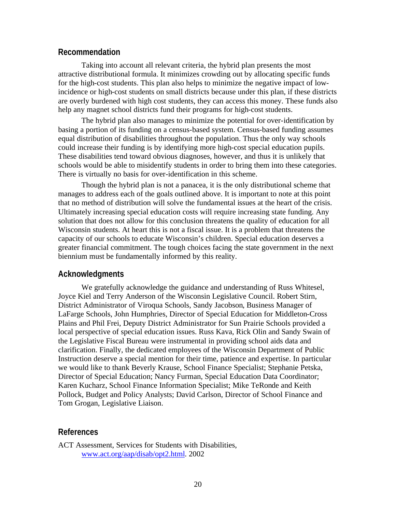### **Recommendation**

Taking into account all relevant criteria, the hybrid plan presents the most attractive distributional formula. It minimizes crowding out by allocating specific funds for the high-cost students. This plan also helps to minimize the negative impact of lowincidence or high-cost students on small districts because under this plan, if these districts are overly burdened with high cost students, they can access this money. These funds also help any magnet school districts fund their programs for high-cost students.

The hybrid plan also manages to minimize the potential for over-identification by basing a portion of its funding on a census-based system. Census-based funding assumes equal distribution of disabilities throughout the population. Thus the only way schools could increase their funding is by identifying more high-cost special education pupils. These disabilities tend toward obvious diagnoses, however, and thus it is unlikely that schools would be able to misidentify students in order to bring them into these categories. There is virtually no basis for over-identification in this scheme.

Though the hybrid plan is not a panacea, it is the only distributional scheme that manages to address each of the goals outlined above. It is important to note at this point that no method of distribution will solve the fundamental issues at the heart of the crisis. Ultimately increasing special education costs will require increasing state funding. Any solution that does not allow for this conclusion threatens the quality of education for all Wisconsin students. At heart this is not a fiscal issue. It is a problem that threatens the capacity of our schools to educate Wisconsin's children. Special education deserves a greater financial commitment. The tough choices facing the state government in the next biennium must be fundamentally informed by this reality.

#### **Acknowledgments**

We gratefully acknowledge the guidance and understanding of Russ Whitesel, Joyce Kiel and Terry Anderson of the Wisconsin Legislative Council. Robert Stirn, District Administrator of Viroqua Schools, Sandy Jacobson, Business Manager of LaFarge Schools, John Humphries, Director of Special Education for Middleton-Cross Plains and Phil Frei, Deputy District Administrator for Sun Prairie Schools provided a local perspective of special education issues. Russ Kava, Rick Olin and Sandy Swain of the Legislative Fiscal Bureau were instrumental in providing school aids data and clarification. Finally, the dedicated employees of the Wisconsin Department of Public Instruction deserve a special mention for their time, patience and expertise. In particular we would like to thank Beverly Krause, School Finance Specialist; Stephanie Petska, Director of Special Education; Nancy Furman, Special Education Data Coordinator; Karen Kucharz, School Finance Information Specialist; Mike TeRonde and Keith Pollock, Budget and Policy Analysts; David Carlson, Director of School Finance and Tom Grogan, Legislative Liaison.

#### **References**

ACT Assessment, Services for Students with Disabilities, [www.act.org/aap/disab/opt2.html. 2](http://www.act.org/aap/disab/opt2.html)002